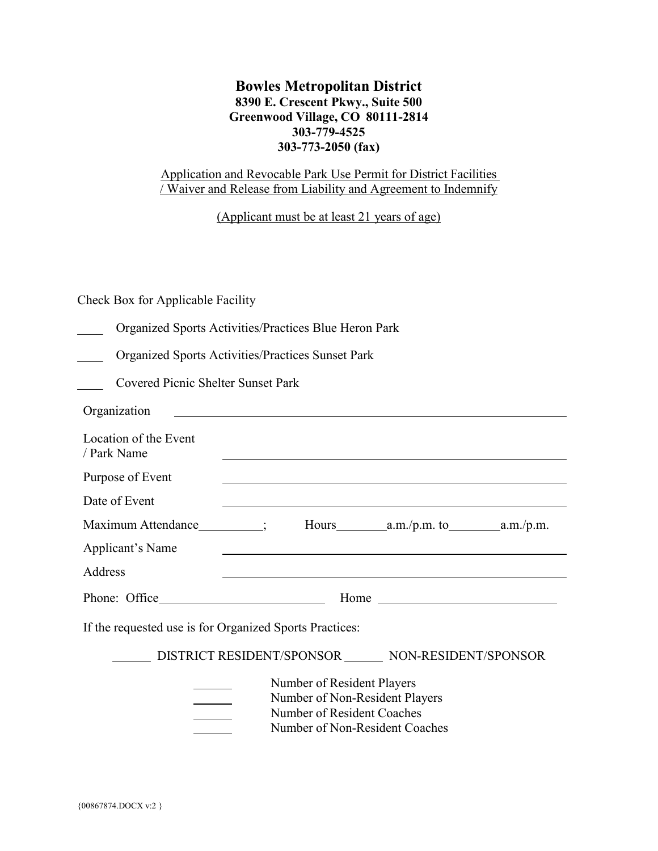# **Bowles Metropolitan District 8390 E. Crescent Pkwy., Suite 500 Greenwood Village, CO 80111-2814 303-779-4525 303-773-2050 (fax)**

# Application and Revocable Park Use Permit for District Facilities / Waiver and Release from Liability and Agreement to Indemnify

(Applicant must be at least 21 years of age)

Check Box for Applicable Facility

| Organized Sports Activities/Practices Blue Heron Park |  |  |  |
|-------------------------------------------------------|--|--|--|
|                                                       |  |  |  |

\_\_\_\_ Organized Sports Activities/Practices Sunset Park

\_\_\_\_ Covered Picnic Shelter Sunset Park

| Organization                                                                                                                 |                      |  |  |  |
|------------------------------------------------------------------------------------------------------------------------------|----------------------|--|--|--|
| Location of the Event<br>/ Park Name                                                                                         |                      |  |  |  |
| Purpose of Event                                                                                                             |                      |  |  |  |
| Date of Event                                                                                                                |                      |  |  |  |
|                                                                                                                              |                      |  |  |  |
| Applicant's Name                                                                                                             |                      |  |  |  |
| Address                                                                                                                      |                      |  |  |  |
|                                                                                                                              | Home $\qquad \qquad$ |  |  |  |
| If the requested use is for Organized Sports Practices:                                                                      |                      |  |  |  |
| DISTRICT RESIDENT/SPONSOR _______ NON-RESIDENT/SPONSOR                                                                       |                      |  |  |  |
| Number of Resident Players<br>Number of Non-Resident Players<br>Number of Resident Coaches<br>Number of Non-Resident Coaches |                      |  |  |  |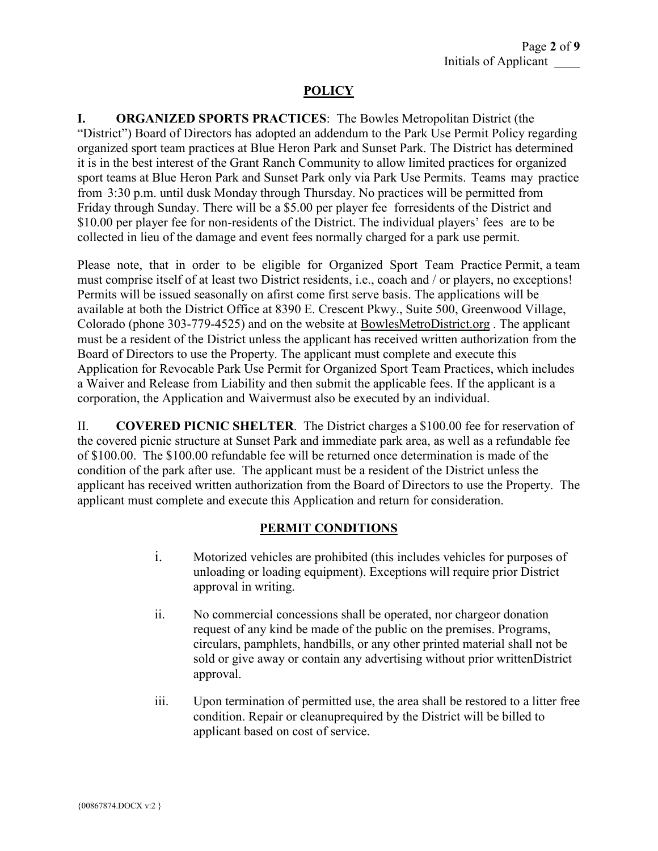# **POLICY**

**I. ORGANIZED SPORTS PRACTICES**: The Bowles Metropolitan District (the "District") Board of Directors has adopted an addendum to the Park Use Permit Policy regarding organized sport team practices at Blue Heron Park and Sunset Park. The District has determined it is in the best interest of the Grant Ranch Community to allow limited practices for organized sport teams at Blue Heron Park and Sunset Park only via Park Use Permits. Teams may practice from 3:30 p.m. until dusk Monday through Thursday. No practices will be permitted from Friday through Sunday. There will be a \$5.00 per player fee forresidents of the District and \$10.00 per player fee for non-residents of the District. The individual players' fees are to be collected in lieu of the damage and event fees normally charged for a park use permit.

Please note, that in order to be eligible for Organized Sport Team Practice Permit, a team must comprise itself of at least two District residents, i.e., coach and / or players, no exceptions! Permits will be issued seasonally on afirst come first serve basis. The applications will be available at both the District Office at 8390 E. Crescent Pkwy., Suite 500, Greenwood Village, Colorado (phone 303-779-4525) and on the website at BowlesMetroDistrict.org . The applicant must be a resident of the District unless the applicant has received written authorization from the Board of Directors to use the Property. The applicant must complete and execute this Application for Revocable Park Use Permit for Organized Sport Team Practices, which includes a Waiver and Release from Liability and then submit the applicable fees. If the applicant is a corporation, the Application and Waivermust also be executed by an individual.

II. **COVERED PICNIC SHELTER**. The District charges a \$100.00 fee for reservation of the covered picnic structure at Sunset Park and immediate park area, as well as a refundable fee of \$100.00. The \$100.00 refundable fee will be returned once determination is made of the condition of the park after use. The applicant must be a resident of the District unless the applicant has received written authorization from the Board of Directors to use the Property. The applicant must complete and execute this Application and return for consideration.

# **PERMIT CONDITIONS**

- i. Motorized vehicles are prohibited (this includes vehicles for purposes of unloading or loading equipment). Exceptions will require prior District approval in writing.
- ii. No commercial concessions shall be operated, nor chargeor donation request of any kind be made of the public on the premises. Programs, circulars, pamphlets, handbills, or any other printed material shall not be sold or give away or contain any advertising without prior writtenDistrict approval.
- iii. Upon termination of permitted use, the area shall be restored to a litter free condition. Repair or cleanuprequired by the District will be billed to applicant based on cost of service.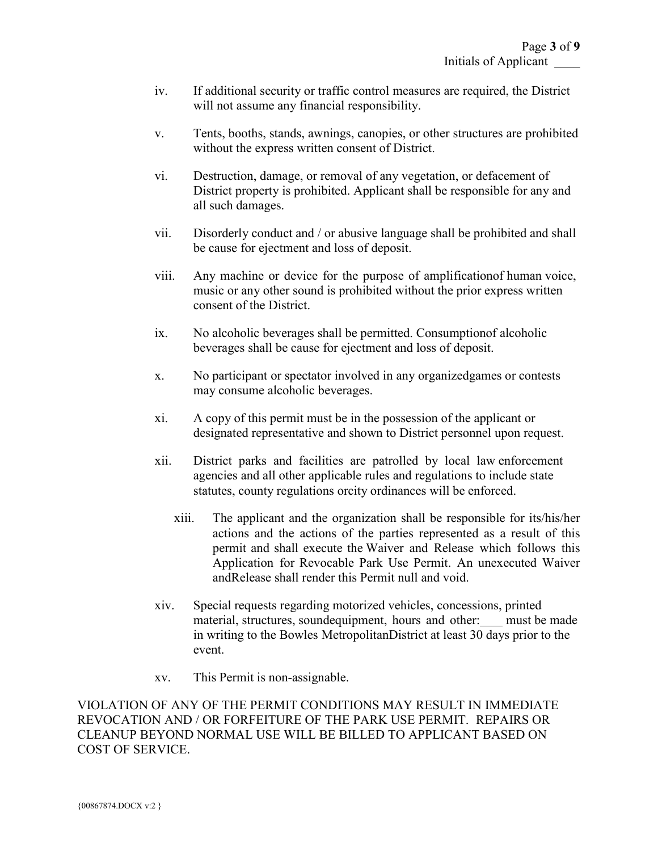- iv. If additional security or traffic control measures are required, the District will not assume any financial responsibility.
- v. Tents, booths, stands, awnings, canopies, or other structures are prohibited without the express written consent of District.
- vi. Destruction, damage, or removal of any vegetation, or defacement of District property is prohibited. Applicant shall be responsible for any and all such damages.
- vii. Disorderly conduct and / or abusive language shall be prohibited and shall be cause for ejectment and loss of deposit.
- viii. Any machine or device for the purpose of amplificationof human voice, music or any other sound is prohibited without the prior express written consent of the District.
- ix. No alcoholic beverages shall be permitted. Consumptionof alcoholic beverages shall be cause for ejectment and loss of deposit.
- x. No participant or spectator involved in any organizedgames or contests may consume alcoholic beverages.
- xi. A copy of this permit must be in the possession of the applicant or designated representative and shown to District personnel upon request.
- xii. District parks and facilities are patrolled by local law enforcement agencies and all other applicable rules and regulations to include state statutes, county regulations orcity ordinances will be enforced.
	- xiii. The applicant and the organization shall be responsible for its/his/her actions and the actions of the parties represented as a result of this permit and shall execute the Waiver and Release which follows this Application for Revocable Park Use Permit. An unexecuted Waiver andRelease shall render this Permit null and void.
- xiv. Special requests regarding motorized vehicles, concessions, printed material, structures, soundequipment, hours and other: must be made in writing to the Bowles MetropolitanDistrict at least 30 days prior to the event.
- xv. This Permit is non-assignable.

VIOLATION OF ANY OF THE PERMIT CONDITIONS MAY RESULT IN IMMEDIATE REVOCATION AND / OR FORFEITURE OF THE PARK USE PERMIT. REPAIRS OR CLEANUP BEYOND NORMAL USE WILL BE BILLED TO APPLICANT BASED ON COST OF SERVICE.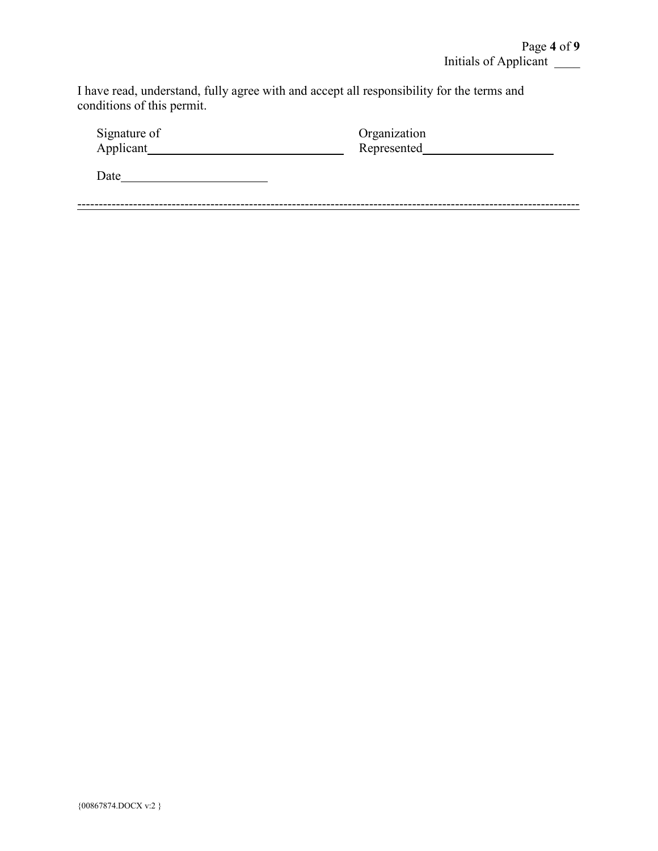I have read, understand, fully agree with and accept all responsibility for the terms and conditions of this permit.

| Signature of | Organization |
|--------------|--------------|
| Applicant    | Represented  |
| Date         |              |
|              |              |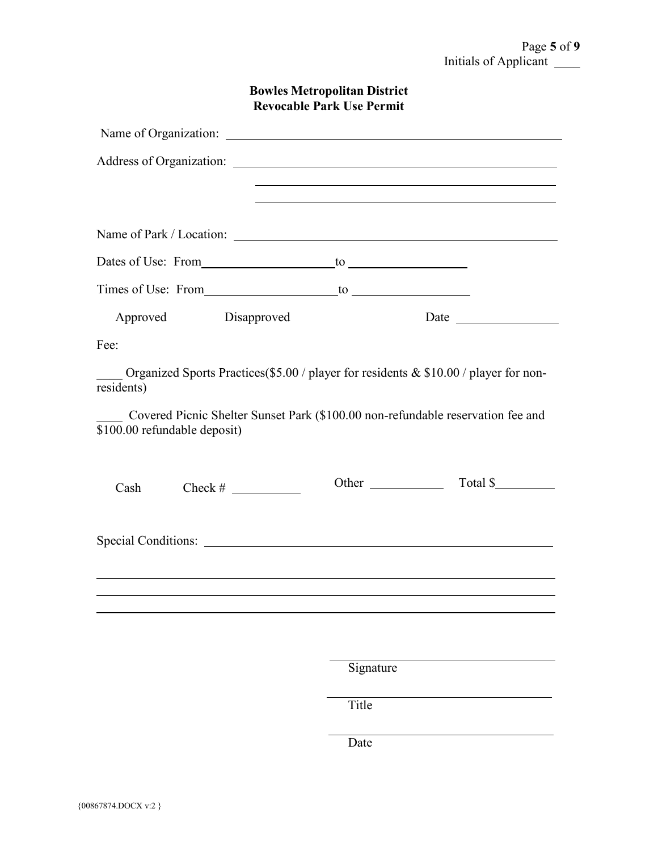| <b>Bowles Metropolitan District</b> |  |
|-------------------------------------|--|
| <b>Revocable Park Use Permit</b>    |  |

|                              |           | <u> 1989 - Johann Stein, marwolaethau a bhann an t-Amhain ann an t-Amhain an t-Amhain an t-Amhain an t-Amhain an </u> |
|------------------------------|-----------|-----------------------------------------------------------------------------------------------------------------------|
|                              |           | and the control of the control of the control of the control of the control of the control of the control of the      |
|                              |           |                                                                                                                       |
|                              |           |                                                                                                                       |
|                              |           |                                                                                                                       |
| Approved Disapproved         |           |                                                                                                                       |
| Fee:                         |           |                                                                                                                       |
| residents)                   |           | Organized Sports Practices(\$5.00 / player for residents & \$10.00 / player for non-                                  |
| \$100.00 refundable deposit) |           | Covered Picnic Shelter Sunset Park (\$100.00 non-refundable reservation fee and                                       |
| Cash                         | Other     | Total \$                                                                                                              |
|                              |           |                                                                                                                       |
|                              |           |                                                                                                                       |
|                              | Signature |                                                                                                                       |
|                              | Title     |                                                                                                                       |

Date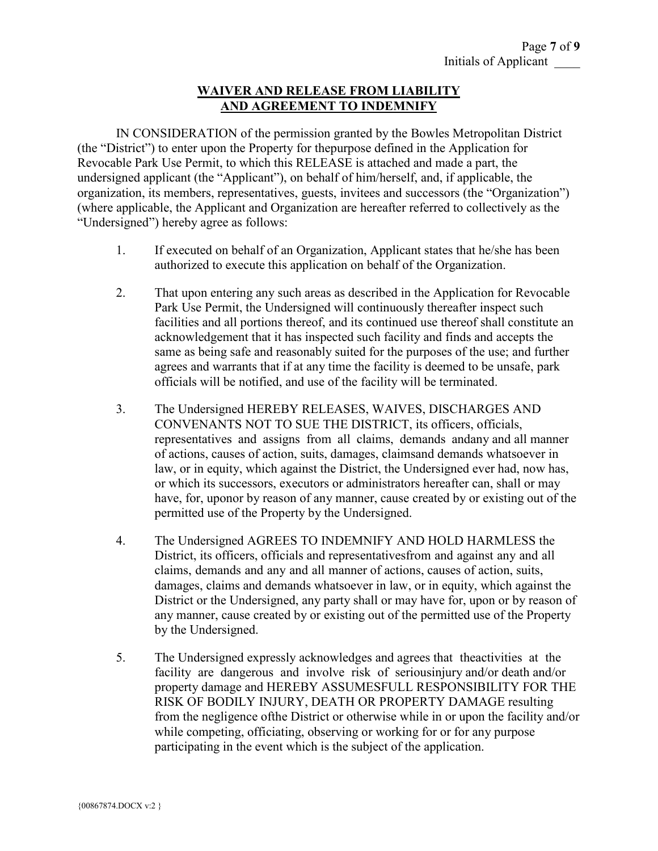#### **WAIVER AND RELEASE FROM LIABILITY AND AGREEMENT TO INDEMNIFY**

IN CONSIDERATION of the permission granted by the Bowles Metropolitan District (the "District") to enter upon the Property for thepurpose defined in the Application for Revocable Park Use Permit, to which this RELEASE is attached and made a part, the undersigned applicant (the "Applicant"), on behalf of him/herself, and, if applicable, the organization, its members, representatives, guests, invitees and successors (the "Organization") (where applicable, the Applicant and Organization are hereafter referred to collectively as the "Undersigned") hereby agree as follows:

- 1. If executed on behalf of an Organization, Applicant states that he/she has been authorized to execute this application on behalf of the Organization.
- 2. That upon entering any such areas as described in the Application for Revocable Park Use Permit, the Undersigned will continuously thereafter inspect such facilities and all portions thereof, and its continued use thereof shall constitute an acknowledgement that it has inspected such facility and finds and accepts the same as being safe and reasonably suited for the purposes of the use; and further agrees and warrants that if at any time the facility is deemed to be unsafe, park officials will be notified, and use of the facility will be terminated.
- 3. The Undersigned HEREBY RELEASES, WAIVES, DISCHARGES AND CONVENANTS NOT TO SUE THE DISTRICT, its officers, officials, representatives and assigns from all claims, demands andany and all manner of actions, causes of action, suits, damages, claimsand demands whatsoever in law, or in equity, which against the District, the Undersigned ever had, now has, or which its successors, executors or administrators hereafter can, shall or may have, for, uponor by reason of any manner, cause created by or existing out of the permitted use of the Property by the Undersigned.
- 4. The Undersigned AGREES TO INDEMNIFY AND HOLD HARMLESS the District, its officers, officials and representativesfrom and against any and all claims, demands and any and all manner of actions, causes of action, suits, damages, claims and demands whatsoever in law, or in equity, which against the District or the Undersigned, any party shall or may have for, upon or by reason of any manner, cause created by or existing out of the permitted use of the Property by the Undersigned.
- 5. The Undersigned expressly acknowledges and agrees that theactivities at the facility are dangerous and involve risk of seriousinjury and/or death and/or property damage and HEREBY ASSUMESFULL RESPONSIBILITY FOR THE RISK OF BODILY INJURY, DEATH OR PROPERTY DAMAGE resulting from the negligence ofthe District or otherwise while in or upon the facility and/or while competing, officiating, observing or working for or for any purpose participating in the event which is the subject of the application.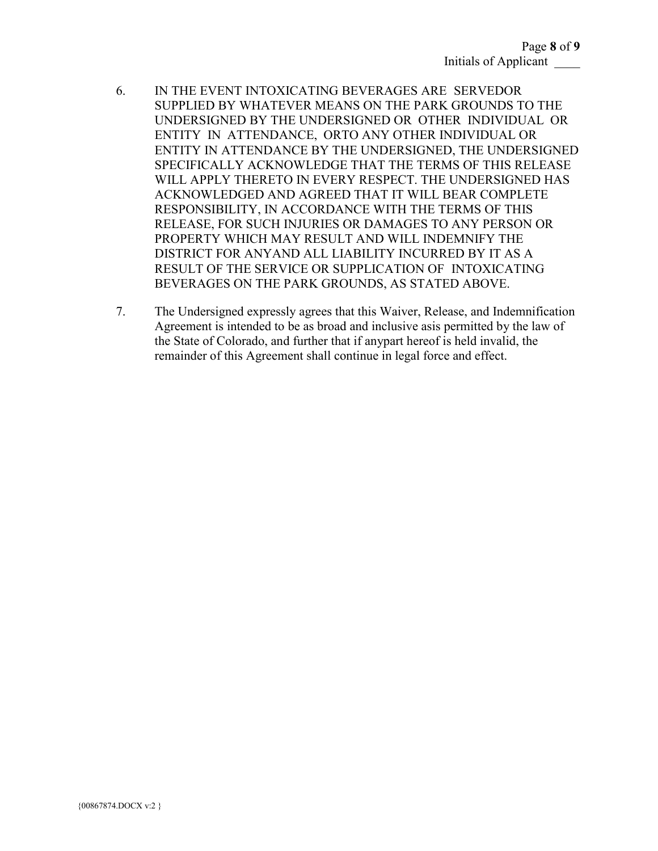- 6. IN THE EVENT INTOXICATING BEVERAGES ARE SERVEDOR SUPPLIED BY WHATEVER MEANS ON THE PARK GROUNDS TO THE UNDERSIGNED BY THE UNDERSIGNED OR OTHER INDIVIDUAL OR ENTITY IN ATTENDANCE, ORTO ANY OTHER INDIVIDUAL OR ENTITY IN ATTENDANCE BY THE UNDERSIGNED, THE UNDERSIGNED SPECIFICALLY ACKNOWLEDGE THAT THE TERMS OF THIS RELEASE WILL APPLY THERETO IN EVERY RESPECT. THE UNDERSIGNED HAS ACKNOWLEDGED AND AGREED THAT IT WILL BEAR COMPLETE RESPONSIBILITY, IN ACCORDANCE WITH THE TERMS OF THIS RELEASE, FOR SUCH INJURIES OR DAMAGES TO ANY PERSON OR PROPERTY WHICH MAY RESULT AND WILL INDEMNIFY THE DISTRICT FOR ANYAND ALL LIABILITY INCURRED BY IT AS A RESULT OF THE SERVICE OR SUPPLICATION OF INTOXICATING BEVERAGES ON THE PARK GROUNDS, AS STATED ABOVE.
- 7. The Undersigned expressly agrees that this Waiver, Release, and Indemnification Agreement is intended to be as broad and inclusive asis permitted by the law of the State of Colorado, and further that if anypart hereof is held invalid, the remainder of this Agreement shall continue in legal force and effect.